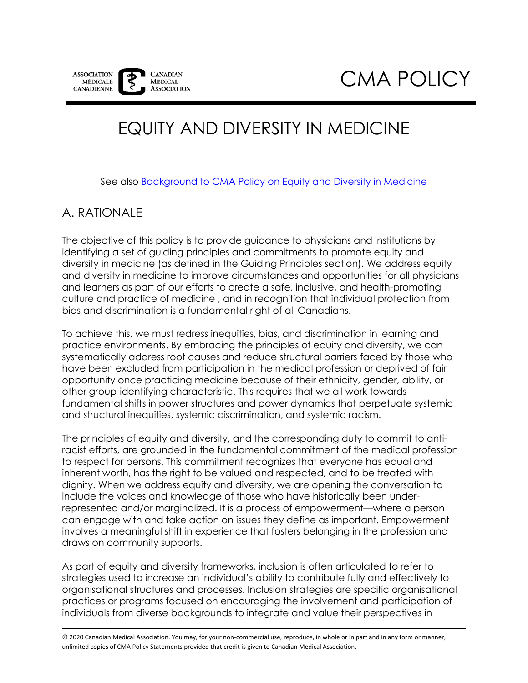

# EQUITY AND DIVERSITY IN MEDICINE

See also [Background to CMA Policy on Equity and Diversity in Medicine](https://policybase.cma.ca/en/permalink/policy14127)

# A. RATIONALE

The objective of this policy is to provide guidance to physicians and institutions by identifying a set of guiding principles and commitments to promote equity and diversity in medicine (as defined in the Guiding Principles section). We address equity and diversity in medicine to improve circumstances and opportunities for all physicians and learners as part of our efforts to create a safe, inclusive, and health-promoting culture and practice of medicine , and in recognition that individual protection from bias and discrimination is a fundamental right of all Canadians.

To achieve this, we must redress inequities, bias, and discrimination in learning and practice environments. By embracing the principles of equity and diversity, we can systematically address root causes and reduce structural barriers faced by those who have been excluded from participation in the medical profession or deprived of fair opportunity once practicing medicine because of their ethnicity, gender, ability, or other group-identifying characteristic. This requires that we all work towards fundamental shifts in power structures and power dynamics that perpetuate systemic and structural inequities, systemic discrimination, and systemic racism.

The principles of equity and diversity, and the corresponding duty to commit to antiracist efforts, are grounded in the fundamental commitment of the medical profession to respect for persons. This commitment recognizes that everyone has equal and inherent worth, has the right to be valued and respected, and to be treated with dignity. When we address equity and diversity, we are opening the conversation to include the voices and knowledge of those who have historically been underrepresented and/or marginalized. It is a process of empowerment—where a person can engage with and take action on issues they define as important. Empowerment involves a meaningful shift in experience that fosters belonging in the profession and draws on community supports.

As part of equity and diversity frameworks, inclusion is often articulated to refer to strategies used to increase an individual's ability to contribute fully and effectively to organisational structures and processes. Inclusion strategies are specific organisational practices or programs focused on encouraging the involvement and participation of individuals from diverse backgrounds to integrate and value their perspectives in

© 2020 Canadian Medical Association. You may, for your non-commercial use, reproduce, in whole or in part and in any form or manner, unlimited copies of CMA Policy Statements provided that credit is given to Canadian Medical Association.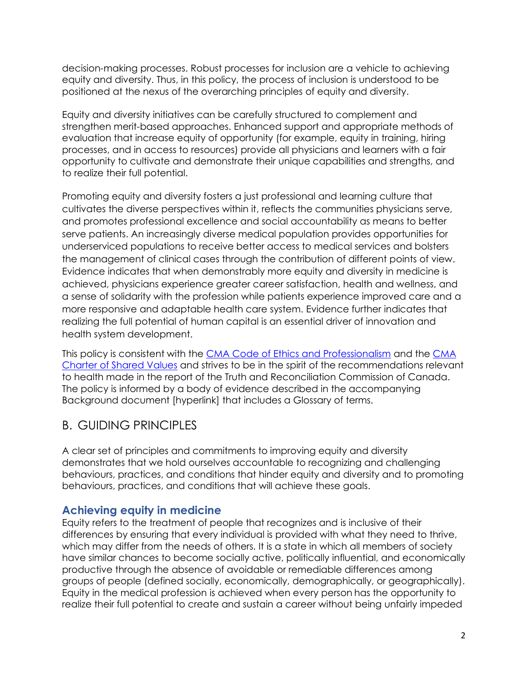decision-making processes. Robust processes for inclusion are a vehicle to achieving equity and diversity. Thus, in this policy, the process of inclusion is understood to be positioned at the nexus of the overarching principles of equity and diversity.

Equity and diversity initiatives can be carefully structured to complement and strengthen merit-based approaches. Enhanced support and appropriate methods of evaluation that increase equity of opportunity (for example, equity in training, hiring processes, and in access to resources) provide all physicians and learners with a fair opportunity to cultivate and demonstrate their unique capabilities and strengths, and to realize their full potential.

Promoting equity and diversity fosters a just professional and learning culture that cultivates the diverse perspectives within it, reflects the communities physicians serve, and promotes professional excellence and social accountability as means to better serve patients. An increasingly diverse medical population provides opportunities for underserviced populations to receive better access to medical services and bolsters the management of clinical cases through the contribution of different points of view. Evidence indicates that when demonstrably more equity and diversity in medicine is achieved, physicians experience greater career satisfaction, health and wellness, and a sense of solidarity with the profession while patients experience improved care and a more responsive and adaptable health care system. Evidence further indicates that realizing the full potential of human capital is an essential driver of innovation and health system development.

This policy is consistent with the [CMA Code of Ethics and Professionalism](https://policybase.cma.ca/documents/policypdf/PD19-03.pdf) and the [CMA](https://policybase.cma.ca/documents/Policypdf/PD18-03.pdf)  [Charter of Shared Values](https://policybase.cma.ca/documents/Policypdf/PD18-03.pdf) and strives to be in the spirit of the recommendations relevant to health made in the report of the Truth and Reconciliation Commission of Canada. The policy is informed by a body of evidence described in the accompanying Background document [hyperlink] that includes a Glossary of terms.

# B. GUIDING PRINCIPLES

A clear set of principles and commitments to improving equity and diversity demonstrates that we hold ourselves accountable to recognizing and challenging behaviours, practices, and conditions that hinder equity and diversity and to promoting behaviours, practices, and conditions that will achieve these goals.

## **Achieving equity in medicine**

Equity refers to the treatment of people that recognizes and is inclusive of their differences by ensuring that every individual is provided with what they need to thrive, which may differ from the needs of others. It is a state in which all members of society have similar chances to become socially active, politically influential, and economically productive through the absence of avoidable or remediable differences among groups of people (defined socially, economically, demographically, or geographically). Equity in the medical profession is achieved when every person has the opportunity to realize their full potential to create and sustain a career without being unfairly impeded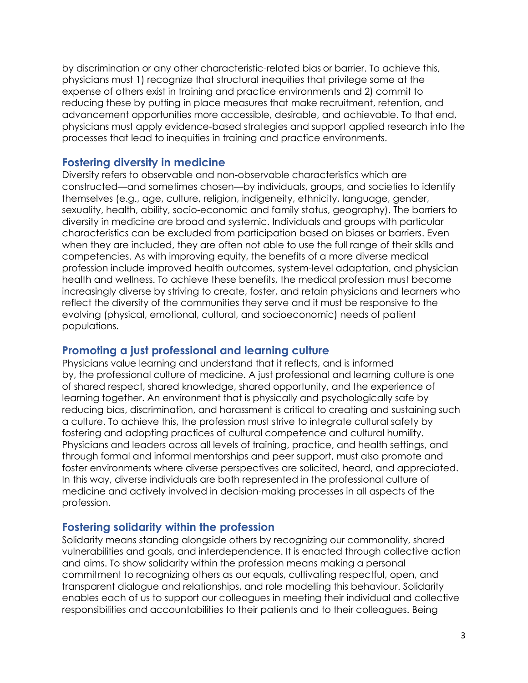by discrimination or any other characteristic-related bias or barrier. To achieve this, physicians must 1) recognize that structural inequities that privilege some at the expense of others exist in training and practice environments and 2) commit to reducing these by putting in place measures that make recruitment, retention, and advancement opportunities more accessible, desirable, and achievable. To that end, physicians must apply evidence-based strategies and support applied research into the processes that lead to inequities in training and practice environments.

## **Fostering diversity in medicine**

Diversity refers to observable and non-observable characteristics which are constructed—and sometimes chosen—by individuals, groups, and societies to identify themselves (e.g., age, culture, religion, indigeneity, ethnicity, language, gender, sexuality, health, ability, socio-economic and family status, geography). The barriers to diversity in medicine are broad and systemic. Individuals and groups with particular characteristics can be excluded from participation based on biases or barriers. Even when they are included, they are often not able to use the full range of their skills and competencies. As with improving equity, the benefits of a more diverse medical profession include improved health outcomes, system-level adaptation, and physician health and wellness. To achieve these benefits, the medical profession must become increasingly diverse by striving to create, foster, and retain physicians and learners who reflect the diversity of the communities they serve and it must be responsive to the evolving (physical, emotional, cultural, and socioeconomic) needs of patient populations.

### **Promoting a just professional and learning culture**

Physicians value learning and understand that it reflects, and is informed by, the professional culture of medicine. A just professional and learning culture is one of shared respect, shared knowledge, shared opportunity, and the experience of learning together. An environment that is physically and psychologically safe by reducing bias, discrimination, and harassment is critical to creating and sustaining such a culture. To achieve this, the profession must strive to integrate cultural safety by fostering and adopting practices of cultural competence and cultural humility. Physicians and leaders across all levels of training, practice, and health settings, and through formal and informal mentorships and peer support, must also promote and foster environments where diverse perspectives are solicited, heard, and appreciated. In this way, diverse individuals are both represented in the professional culture of medicine and actively involved in decision-making processes in all aspects of the profession.

### **Fostering solidarity within the profession**

Solidarity means standing alongside others by recognizing our commonality, shared vulnerabilities and goals, and interdependence. It is enacted through collective action and aims. To show solidarity within the profession means making a personal commitment to recognizing others as our equals, cultivating respectful, open, and transparent dialogue and relationships, and role modelling this behaviour. Solidarity enables each of us to support our colleagues in meeting their individual and collective responsibilities and accountabilities to their patients and to their colleagues. Being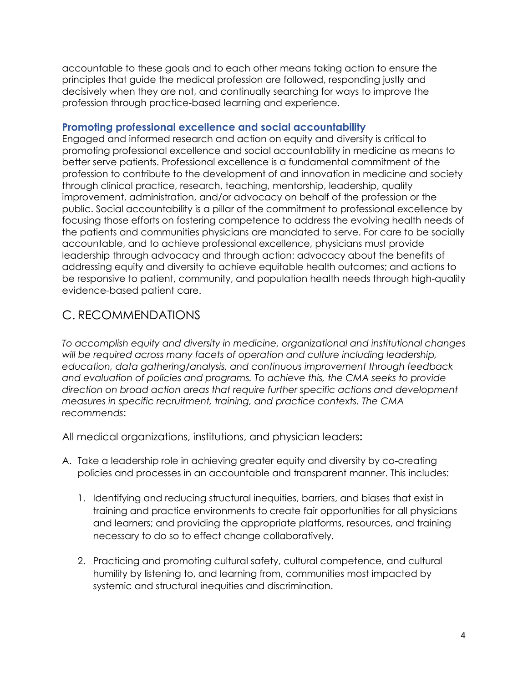accountable to these goals and to each other means taking action to ensure the principles that guide the medical profession are followed, responding justly and decisively when they are not, and continually searching for ways to improve the profession through practice-based learning and experience.

### **Promoting professional excellence and social accountability**

Engaged and informed research and action on equity and diversity is critical to promoting professional excellence and social accountability in medicine as means to better serve patients. Professional excellence is a fundamental commitment of the profession to contribute to the development of and innovation in medicine and society through clinical practice, research, teaching, mentorship, leadership, quality improvement, administration, and/or advocacy on behalf of the profession or the public. Social accountability is a pillar of the commitment to professional excellence by focusing those efforts on fostering competence to address the evolving health needs of the patients and communities physicians are mandated to serve. For care to be socially accountable, and to achieve professional excellence, physicians must provide leadership through advocacy and through action: advocacy about the benefits of addressing equity and diversity to achieve equitable health outcomes; and actions to be responsive to patient, community, and population health needs through high-quality evidence-based patient care.

## C. RECOMMENDATIONS

*To accomplish equity and diversity in medicine, organizational and institutional changes will be required across many facets of operation and culture including leadership, education, data gathering/analysis, and continuous improvement through feedback and evaluation of policies and programs. To achieve this, the CMA seeks to provide direction on broad action areas that require further specific actions and development measures in specific recruitment, training, and practice contexts. The CMA recommends*:

All medical organizations, institutions, and physician leaders**:**

- A. Take a leadership role in achieving greater equity and diversity by co-creating policies and processes in an accountable and transparent manner. This includes:
	- 1. Identifying and reducing structural inequities, barriers, and biases that exist in training and practice environments to create fair opportunities for all physicians and learners; and providing the appropriate platforms, resources, and training necessary to do so to effect change collaboratively.
	- 2. Practicing and promoting cultural safety, cultural competence, and cultural humility by listening to, and learning from, communities most impacted by systemic and structural inequities and discrimination.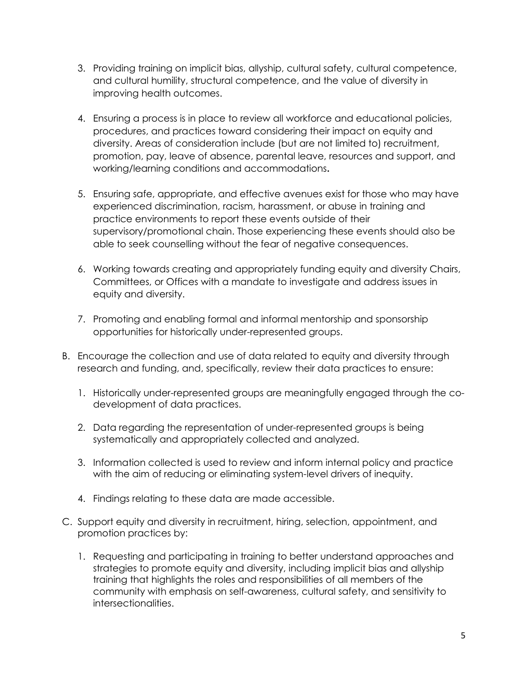- 3. Providing training on implicit bias, allyship, cultural safety, cultural competence, and cultural humility, structural competence, and the value of diversity in improving health outcomes.
- 4. Ensuring a process is in place to review all workforce and educational policies, procedures, and practices toward considering their impact on equity and diversity. Areas of consideration include (but are not limited to) recruitment, promotion, pay, leave of absence, parental leave, resources and support, and working/learning conditions and accommodations**.**
- 5. Ensuring safe, appropriate, and effective avenues exist for those who may have experienced discrimination, racism, harassment, or abuse in training and practice environments to report these events outside of their supervisory/promotional chain. Those experiencing these events should also be able to seek counselling without the fear of negative consequences.
- 6. Working towards creating and appropriately funding equity and diversity Chairs, Committees, or Offices with a mandate to investigate and address issues in equity and diversity.
- 7. Promoting and enabling formal and informal mentorship and sponsorship opportunities for historically under-represented groups.
- B. Encourage the collection and use of data related to equity and diversity through research and funding, and, specifically, review their data practices to ensure:
	- 1. Historically under-represented groups are meaningfully engaged through the codevelopment of data practices.
	- 2. Data regarding the representation of under-represented groups is being systematically and appropriately collected and analyzed.
	- 3. Information collected is used to review and inform internal policy and practice with the aim of reducing or eliminating system-level drivers of inequity.
	- 4. Findings relating to these data are made accessible.
- C. Support equity and diversity in recruitment, hiring, selection, appointment, and promotion practices by:
	- 1. Requesting and participating in training to better understand approaches and strategies to promote equity and diversity, including implicit bias and allyship training that highlights the roles and responsibilities of all members of the community with emphasis on self-awareness, cultural safety, and sensitivity to intersectionalities.